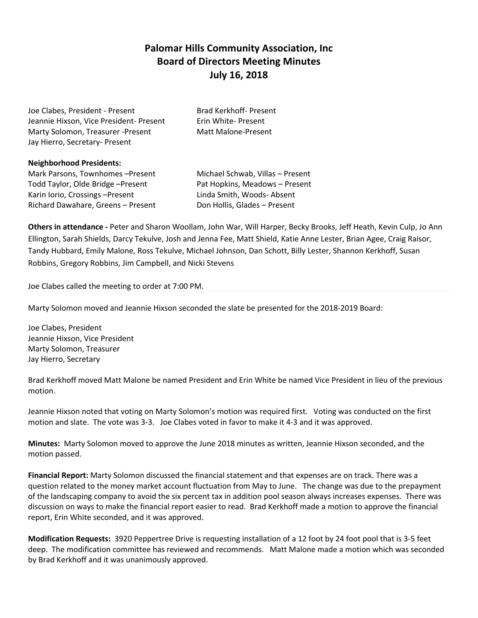## **Palomar Hills Community Association, Inc Board of Directors Meeting Minutes July 16, 2018**

| Joe Clabes, President - Present         | Brad Kerkhoff- Present |
|-----------------------------------------|------------------------|
| Jeannie Hixson, Vice President- Present | Erin White- Present    |
| Marty Solomon, Treasurer - Present      | Matt Malone-Present    |
| Jay Hierro, Secretary- Present          |                        |

**Neighborhood Presidents:** Mark Parsons, Townhomes –Present Michael Schwab, Villas – Present Todd Taylor, Olde Bridge –Present Pat Hopkins, Meadows – Present Karin Iorio, Crossings –Present Linda Smith, Woods- Absent Richard Dawahare, Greens – Present Don Hollis, Glades – Present

**Others in attendance -** Peter and Sharon Woollam, John War, Will Harper, Becky Brooks, Jeff Heath, Kevin Culp, Jo Ann Ellington, Sarah Shields, Darcy Tekulve, Josh and Jenna Fee, Matt Shield, Katie Anne Lester, Brian Agee, Craig Raisor, Tandy Hubbard, Emily Malone, Ross Tekulve, Michael Johnson, Dan Schott, Billy Lester, Shannon Kerkhoff, Susan Robbins, Gregory Robbins, Jim Campbell, and Nicki Stevens

Joe Clabes called the meeting to order at 7:00 PM.

Marty Solomon moved and Jeannie Hixson seconded the slate be presented for the 2018-2019 Board:

Joe Clabes, President Jeannie Hixson, Vice President Marty Solomon, Treasurer Jay Hierro, Secretary

Brad Kerkhoff moved Matt Malone be named President and Erin White be named Vice President in lieu of the previous motion.

Jeannie Hixson noted that voting on Marty Solomon's motion was required first. Voting was conducted on the first motion and slate. The vote was 3-3. Joe Clabes voted in favor to make it 4-3 and it was approved.

**Minutes:** Marty Solomon moved to approve the June 2018 minutes as written, Jeannie Hixson seconded, and the motion passed.

**Financial Report:** Marty Solomon discussed the financial statement and that expenses are on track. There was a question related to the money market account fluctuation from May to June. The change was due to the prepayment of the landscaping company to avoid the six percent tax in addition pool season always increases expenses. There was discussion on ways to make the financial report easier to read. Brad Kerkhoff made a motion to approve the financial report, Erin White seconded, and it was approved.

**Modification Requests:** 3920 Peppertree Drive is requesting installation of a 12 foot by 24 foot pool that is 3-5 feet deep. The modification committee has reviewed and recommends. Matt Malone made a motion which was seconded by Brad Kerkhoff and it was unanimously approved.